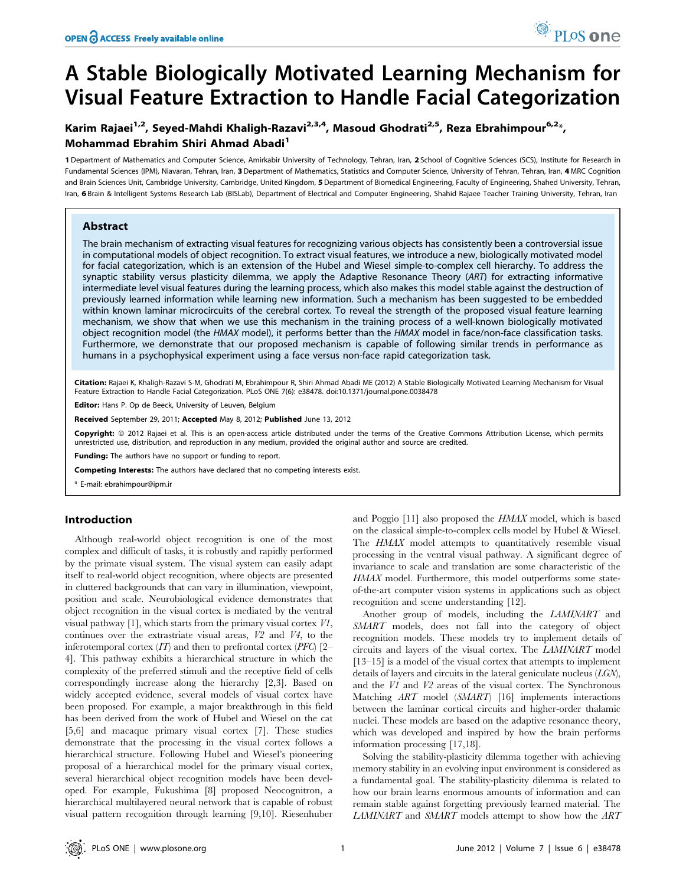# A Stable Biologically Motivated Learning Mechanism for Visual Feature Extraction to Handle Facial Categorization

## Karim Rajaei<sup>1,2</sup>, Seyed-Mahdi Khaligh-Razavi<sup>2,3,4</sup>, Masoud Ghodrati<sup>2,5</sup>, Reza Ebrahimpour<sup>6,2</sup>\*, Mohammad Ebrahim Shiri Ahmad Abadi<sup>1</sup>

1 Department of Mathematics and Computer Science, Amirkabir University of Technology, Tehran, Iran, 2 School of Cognitive Sciences (SCS), Institute for Research in Fundamental Sciences (IPM), Niavaran, Tehran, Iran, 3 Department of Mathematics, Statistics and Computer Science, University of Tehran, Tehran, Iran, 4 MRC Cognition and Brain Sciences Unit, Cambridge University, Cambridge, United Kingdom, 5 Department of Biomedical Engineering, Faculty of Engineering, Shahed University, Tehran, Iran, 6 Brain & Intelligent Systems Research Lab (BISLab), Department of Electrical and Computer Engineering, Shahid Rajaee Teacher Training University, Tehran, Iran

### Abstract

The brain mechanism of extracting visual features for recognizing various objects has consistently been a controversial issue in computational models of object recognition. To extract visual features, we introduce a new, biologically motivated model for facial categorization, which is an extension of the Hubel and Wiesel simple-to-complex cell hierarchy. To address the synaptic stability versus plasticity dilemma, we apply the Adaptive Resonance Theory (ART) for extracting informative intermediate level visual features during the learning process, which also makes this model stable against the destruction of previously learned information while learning new information. Such a mechanism has been suggested to be embedded within known laminar microcircuits of the cerebral cortex. To reveal the strength of the proposed visual feature learning mechanism, we show that when we use this mechanism in the training process of a well-known biologically motivated object recognition model (the HMAX model), it performs better than the HMAX model in face/non-face classification tasks. Furthermore, we demonstrate that our proposed mechanism is capable of following similar trends in performance as humans in a psychophysical experiment using a face versus non-face rapid categorization task.

Citation: Rajaei K, Khaligh-Razavi S-M, Ghodrati M, Ebrahimpour R, Shiri Ahmad Abadi ME (2012) A Stable Biologically Motivated Learning Mechanism for Visual Feature Extraction to Handle Facial Categorization. PLoS ONE 7(6): e38478. doi:10.1371/journal.pone.0038478

Editor: Hans P. Op de Beeck, University of Leuven, Belgium

Received September 29, 2011; Accepted May 8, 2012; Published June 13, 2012

Copyright: © 2012 Rajaei et al. This is an open-access article distributed under the terms of the Creative Commons Attribution License, which permits unrestricted use, distribution, and reproduction in any medium, provided the original author and source are credited.

Funding: The authors have no support or funding to report.

Competing Interests: The authors have declared that no competing interests exist.

\* E-mail: ebrahimpour@ipm.ir

#### Introduction

Although real-world object recognition is one of the most complex and difficult of tasks, it is robustly and rapidly performed by the primate visual system. The visual system can easily adapt itself to real-world object recognition, where objects are presented in cluttered backgrounds that can vary in illumination, viewpoint, position and scale. Neurobiological evidence demonstrates that object recognition in the visual cortex is mediated by the ventral visual pathway [1], which starts from the primary visual cortex V1, continues over the extrastriate visual areas, V2 and V4, to the inferotemporal cortex  $(TT)$  and then to prefrontal cortex  $(PFC)$  [2– 4]. This pathway exhibits a hierarchical structure in which the complexity of the preferred stimuli and the receptive field of cells correspondingly increase along the hierarchy [2,3]. Based on widely accepted evidence, several models of visual cortex have been proposed. For example, a major breakthrough in this field has been derived from the work of Hubel and Wiesel on the cat [5,6] and macaque primary visual cortex [7]. These studies demonstrate that the processing in the visual cortex follows a hierarchical structure. Following Hubel and Wiesel's pioneering proposal of a hierarchical model for the primary visual cortex, several hierarchical object recognition models have been developed. For example, Fukushima [8] proposed Neocognitron, a hierarchical multilayered neural network that is capable of robust visual pattern recognition through learning [9,10]. Riesenhuber

and Poggio [11] also proposed the HMAX model, which is based on the classical simple-to-complex cells model by Hubel & Wiesel. The HMAX model attempts to quantitatively resemble visual processing in the ventral visual pathway. A significant degree of invariance to scale and translation are some characteristic of the HMAX model. Furthermore, this model outperforms some stateof-the-art computer vision systems in applications such as object recognition and scene understanding [12].

<sup>O</sup>PLoSone

Another group of models, including the LAMINART and SMART models, does not fall into the category of object recognition models. These models try to implement details of circuits and layers of the visual cortex. The LAMINART model [13–15] is a model of the visual cortex that attempts to implement details of layers and circuits in the lateral geniculate nucleus  $(LGN)$ , and the V1 and V2 areas of the visual cortex. The Synchronous Matching ART model (SMART) [16] implements interactions between the laminar cortical circuits and higher-order thalamic nuclei. These models are based on the adaptive resonance theory, which was developed and inspired by how the brain performs information processing [17,18].

Solving the stability-plasticity dilemma together with achieving memory stability in an evolving input environment is considered as a fundamental goal. The stability-plasticity dilemma is related to how our brain learns enormous amounts of information and can remain stable against forgetting previously learned material. The LAMINART and SMART models attempt to show how the ART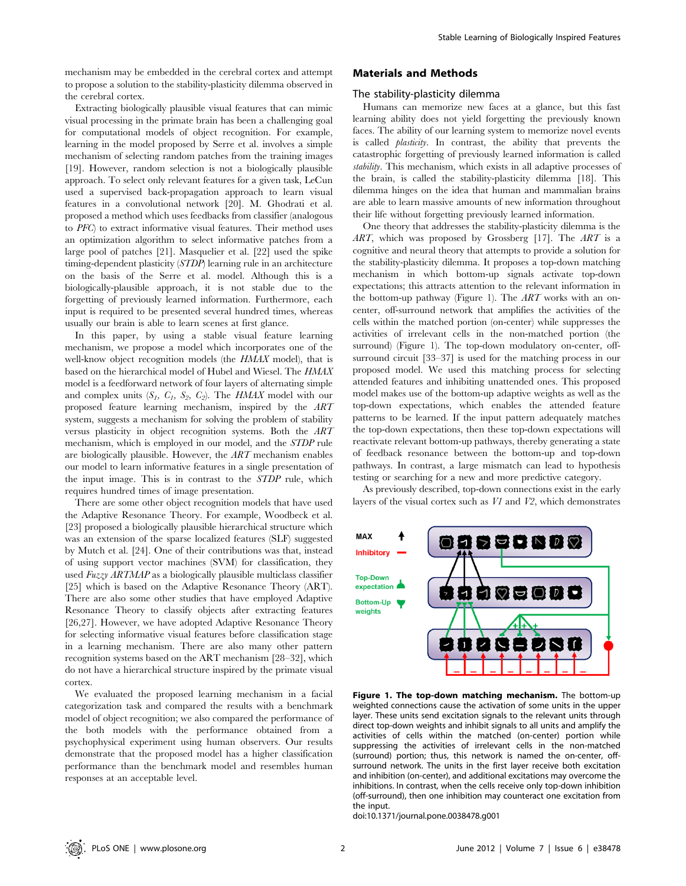mechanism may be embedded in the cerebral cortex and attempt to propose a solution to the stability-plasticity dilemma observed in the cerebral cortex.

Extracting biologically plausible visual features that can mimic visual processing in the primate brain has been a challenging goal for computational models of object recognition. For example, learning in the model proposed by Serre et al. involves a simple mechanism of selecting random patches from the training images [19]. However, random selection is not a biologically plausible approach. To select only relevant features for a given task, LeCun used a supervised back-propagation approach to learn visual features in a convolutional network [20]. M. Ghodrati et al. proposed a method which uses feedbacks from classifier (analogous to PFC) to extract informative visual features. Their method uses an optimization algorithm to select informative patches from a large pool of patches [21]. Masquelier et al. [22] used the spike timing-dependent plasticity (STDP) learning rule in an architecture on the basis of the Serre et al. model. Although this is a biologically-plausible approach, it is not stable due to the forgetting of previously learned information. Furthermore, each input is required to be presented several hundred times, whereas usually our brain is able to learn scenes at first glance.

In this paper, by using a stable visual feature learning mechanism, we propose a model which incorporates one of the well-know object recognition models (the HMAX model), that is based on the hierarchical model of Hubel and Wiesel. The HMAX model is a feedforward network of four layers of alternating simple and complex units  $(S_1, C_1, S_2, C_2)$ . The HMAX model with our proposed feature learning mechanism, inspired by the ART system, suggests a mechanism for solving the problem of stability versus plasticity in object recognition systems. Both the ART mechanism, which is employed in our model, and the STDP rule are biologically plausible. However, the ART mechanism enables our model to learn informative features in a single presentation of the input image. This is in contrast to the STDP rule, which requires hundred times of image presentation.

There are some other object recognition models that have used the Adaptive Resonance Theory. For example, Woodbeck et al. [23] proposed a biologically plausible hierarchical structure which was an extension of the sparse localized features (SLF) suggested by Mutch et al. [24]. One of their contributions was that, instead of using support vector machines (SVM) for classification, they used Fuzzy ARTMAP as a biologically plausible multiclass classifier [25] which is based on the Adaptive Resonance Theory (ART). There are also some other studies that have employed Adaptive Resonance Theory to classify objects after extracting features [26,27]. However, we have adopted Adaptive Resonance Theory for selecting informative visual features before classification stage in a learning mechanism. There are also many other pattern recognition systems based on the ART mechanism [28–32], which do not have a hierarchical structure inspired by the primate visual cortex.

We evaluated the proposed learning mechanism in a facial categorization task and compared the results with a benchmark model of object recognition; we also compared the performance of the both models with the performance obtained from a psychophysical experiment using human observers. Our results demonstrate that the proposed model has a higher classification performance than the benchmark model and resembles human responses at an acceptable level.

#### Materials and Methods

#### The stability-plasticity dilemma

Humans can memorize new faces at a glance, but this fast learning ability does not yield forgetting the previously known faces. The ability of our learning system to memorize novel events is called *plasticity*. In contrast, the ability that prevents the catastrophic forgetting of previously learned information is called stability. This mechanism, which exists in all adaptive processes of the brain, is called the stability-plasticity dilemma [18]. This dilemma hinges on the idea that human and mammalian brains are able to learn massive amounts of new information throughout their life without forgetting previously learned information.

One theory that addresses the stability-plasticity dilemma is the ART, which was proposed by Grossberg [17]. The ART is a cognitive and neural theory that attempts to provide a solution for the stability-plasticity dilemma. It proposes a top-down matching mechanism in which bottom-up signals activate top-down expectations; this attracts attention to the relevant information in the bottom-up pathway (Figure 1). The ART works with an oncenter, off-surround network that amplifies the activities of the cells within the matched portion (on-center) while suppresses the activities of irrelevant cells in the non-matched portion (the surround) (Figure 1). The top-down modulatory on-center, offsurround circuit [33–37] is used for the matching process in our proposed model. We used this matching process for selecting attended features and inhibiting unattended ones. This proposed model makes use of the bottom-up adaptive weights as well as the top-down expectations, which enables the attended feature patterns to be learned. If the input pattern adequately matches the top-down expectations, then these top-down expectations will reactivate relevant bottom-up pathways, thereby generating a state of feedback resonance between the bottom-up and top-down pathways. In contrast, a large mismatch can lead to hypothesis testing or searching for a new and more predictive category.

As previously described, top-down connections exist in the early layers of the visual cortex such as V1 and V2, which demonstrates



Figure 1. The top-down matching mechanism. The bottom-up weighted connections cause the activation of some units in the upper layer. These units send excitation signals to the relevant units through direct top-down weights and inhibit signals to all units and amplify the activities of cells within the matched (on-center) portion while suppressing the activities of irrelevant cells in the non-matched (surround) portion; thus, this network is named the on-center, offsurround network. The units in the first layer receive both excitation and inhibition (on-center), and additional excitations may overcome the inhibitions. In contrast, when the cells receive only top-down inhibition (off-surround), then one inhibition may counteract one excitation from the input.

doi:10.1371/journal.pone.0038478.g001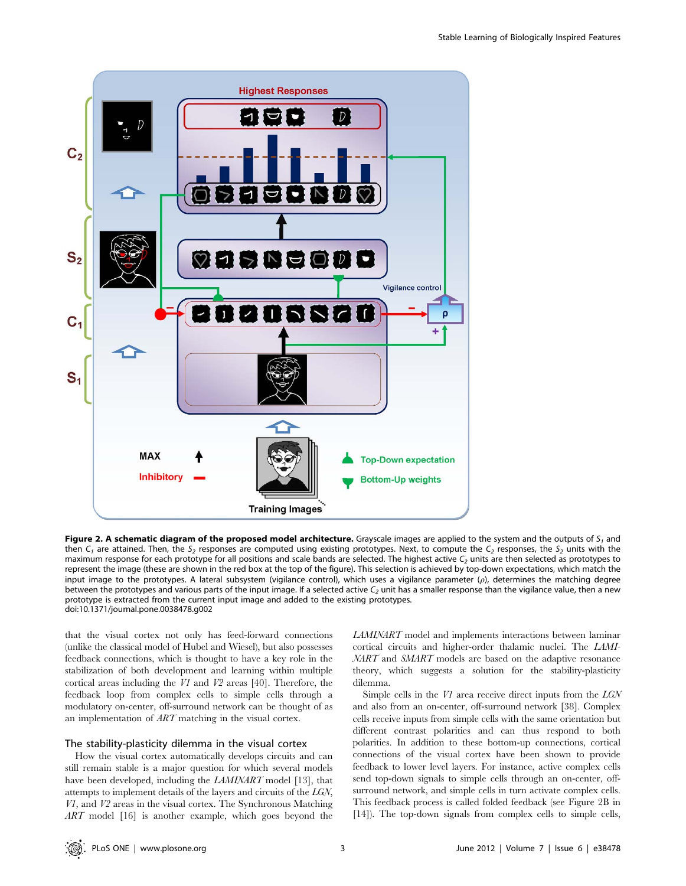

Figure 2. A schematic diagram of the proposed model architecture. Grayscale images are applied to the system and the outputs of  $S_1$  and then  $C_1$  are attained. Then, the  $S_2$  responses are computed using existing prototypes. Next, to compute the  $C_2$  responses, the  $S_2$  units with the maximum response for each prototype for all positions and scale bands are selected. The highest active  $C_2$  units are then selected as prototypes to represent the image (these are shown in the red box at the top of the figure). This selection is achieved by top-down expectations, which match the input image to the prototypes. A lateral subsystem (vigilance control), which uses a vigilance parameter  $(\rho)$ , determines the matching degree between the prototypes and various parts of the input image. If a selected active  $C_2$  unit has a smaller response than the vigilance value, then a new prototype is extracted from the current input image and added to the existing prototypes. doi:10.1371/journal.pone.0038478.g002

that the visual cortex not only has feed-forward connections (unlike the classical model of Hubel and Wiesel), but also possesses feedback connections, which is thought to have a key role in the stabilization of both development and learning within multiple cortical areas including the V1 and V2 areas [40]. Therefore, the feedback loop from complex cells to simple cells through a modulatory on-center, off-surround network can be thought of as an implementation of ART matching in the visual cortex.

#### The stability-plasticity dilemma in the visual cortex

How the visual cortex automatically develops circuits and can still remain stable is a major question for which several models have been developed, including the *LAMINART* model [13], that attempts to implement details of the layers and circuits of the LGN, V1, and V2 areas in the visual cortex. The Synchronous Matching ART model [16] is another example, which goes beyond the LAMINART model and implements interactions between laminar cortical circuits and higher-order thalamic nuclei. The LAMI-NART and SMART models are based on the adaptive resonance theory, which suggests a solution for the stability-plasticity dilemma.

Simple cells in the V1 area receive direct inputs from the LGN and also from an on-center, off-surround network [38]. Complex cells receive inputs from simple cells with the same orientation but different contrast polarities and can thus respond to both polarities. In addition to these bottom-up connections, cortical connections of the visual cortex have been shown to provide feedback to lower level layers. For instance, active complex cells send top-down signals to simple cells through an on-center, offsurround network, and simple cells in turn activate complex cells. This feedback process is called folded feedback (see Figure 2B in [14]). The top-down signals from complex cells to simple cells,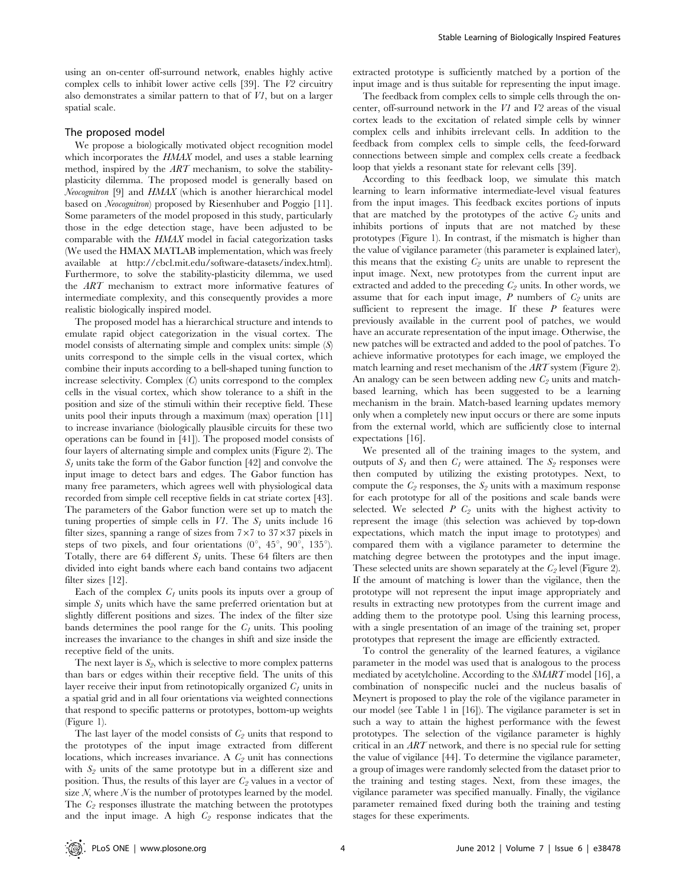using an on-center off-surround network, enables highly active complex cells to inhibit lower active cells [39]. The V2 circuitry also demonstrates a similar pattern to that of V1, but on a larger spatial scale.

#### The proposed model

We propose a biologically motivated object recognition model which incorporates the HMAX model, and uses a stable learning method, inspired by the  $ART$  mechanism, to solve the stabilityplasticity dilemma. The proposed model is generally based on Neocognitron [9] and HMAX (which is another hierarchical model based on Neocognitron) proposed by Riesenhuber and Poggio [11]. Some parameters of the model proposed in this study, particularly those in the edge detection stage, have been adjusted to be comparable with the HMAX model in facial categorization tasks (We used the HMAX MATLAB implementation, which was freely available at http://cbcl.mit.edu/software-datasets/index.html). Furthermore, to solve the stability-plasticity dilemma, we used the ART mechanism to extract more informative features of intermediate complexity, and this consequently provides a more realistic biologically inspired model.

The proposed model has a hierarchical structure and intends to emulate rapid object categorization in the visual cortex. The model consists of alternating simple and complex units: simple (S) units correspond to the simple cells in the visual cortex, which combine their inputs according to a bell-shaped tuning function to increase selectivity. Complex  $(C)$  units correspond to the complex cells in the visual cortex, which show tolerance to a shift in the position and size of the stimuli within their receptive field. These units pool their inputs through a maximum (max) operation [11] to increase invariance (biologically plausible circuits for these two operations can be found in [41]). The proposed model consists of four layers of alternating simple and complex units (Figure 2). The  $S_1$  units take the form of the Gabor function [42] and convolve the input image to detect bars and edges. The Gabor function has many free parameters, which agrees well with physiological data recorded from simple cell receptive fields in cat striate cortex [43]. The parameters of the Gabor function were set up to match the tuning properties of simple cells in  $VI$ . The  $S<sub>I</sub>$  units include 16 filter sizes, spanning a range of sizes from  $7\times7$  to  $37\times37$  pixels in steps of two pixels, and four orientations  $(0^{\circ}, 45^{\circ}, 90^{\circ}, 135^{\circ}).$ Totally, there are 64 different  $S_I$  units. These 64 filters are then divided into eight bands where each band contains two adjacent filter sizes [12].

Each of the complex  $C_I$  units pools its inputs over a group of simple  $S_I$  units which have the same preferred orientation but at slightly different positions and sizes. The index of the filter size bands determines the pool range for the  $C_1$  units. This pooling increases the invariance to the changes in shift and size inside the receptive field of the units.

The next layer is  $S_2$ , which is selective to more complex patterns than bars or edges within their receptive field. The units of this layer receive their input from retinotopically organized  $C_I$  units in a spatial grid and in all four orientations via weighted connections that respond to specific patterns or prototypes, bottom-up weights (Figure 1).

The last layer of the model consists of  $C_2$  units that respond to the prototypes of the input image extracted from different locations, which increases invariance. A  $C_2$  unit has connections with  $S_2$  units of the same prototype but in a different size and position. Thus, the results of this layer are  $C_2$  values in a vector of size  $N$ , where  $N$  is the number of prototypes learned by the model. The  $C_2$  responses illustrate the matching between the prototypes and the input image. A high  $C_2$  response indicates that the

extracted prototype is sufficiently matched by a portion of the input image and is thus suitable for representing the input image.

The feedback from complex cells to simple cells through the oncenter, off-surround network in the V1 and V2 areas of the visual cortex leads to the excitation of related simple cells by winner complex cells and inhibits irrelevant cells. In addition to the feedback from complex cells to simple cells, the feed-forward connections between simple and complex cells create a feedback loop that yields a resonant state for relevant cells [39].

According to this feedback loop, we simulate this match learning to learn informative intermediate-level visual features from the input images. This feedback excites portions of inputs that are matched by the prototypes of the active  $C_2$  units and inhibits portions of inputs that are not matched by these prototypes (Figure 1). In contrast, if the mismatch is higher than the value of vigilance parameter (this parameter is explained later), this means that the existing  $C_2$  units are unable to represent the input image. Next, new prototypes from the current input are extracted and added to the preceding  $C_2$  units. In other words, we assume that for each input image,  $P$  numbers of  $C_2$  units are sufficient to represent the image. If these  $P$  features were previously available in the current pool of patches, we would have an accurate representation of the input image. Otherwise, the new patches will be extracted and added to the pool of patches. To achieve informative prototypes for each image, we employed the match learning and reset mechanism of the ART system (Figure 2). An analogy can be seen between adding new  $C_2$  units and matchbased learning, which has been suggested to be a learning mechanism in the brain. Match-based learning updates memory only when a completely new input occurs or there are some inputs from the external world, which are sufficiently close to internal expectations [16].

We presented all of the training images to the system, and outputs of  $S_1$  and then  $C_1$  were attained. The  $S_2$  responses were then computed by utilizing the existing prototypes. Next, to compute the  $C_2$  responses, the  $S_2$  units with a maximum response for each prototype for all of the positions and scale bands were selected. We selected  $P$   $C_2$  units with the highest activity to represent the image (this selection was achieved by top-down expectations, which match the input image to prototypes) and compared them with a vigilance parameter to determine the matching degree between the prototypes and the input image. These selected units are shown separately at the  $C_2$  level (Figure 2). If the amount of matching is lower than the vigilance, then the prototype will not represent the input image appropriately and results in extracting new prototypes from the current image and adding them to the prototype pool. Using this learning process, with a single presentation of an image of the training set, proper prototypes that represent the image are efficiently extracted.

To control the generality of the learned features, a vigilance parameter in the model was used that is analogous to the process mediated by acetylcholine. According to the SMART model [16], a combination of nonspecific nuclei and the nucleus basalis of Meynert is proposed to play the role of the vigilance parameter in our model (see Table 1 in [16]). The vigilance parameter is set in such a way to attain the highest performance with the fewest prototypes. The selection of the vigilance parameter is highly critical in an ART network, and there is no special rule for setting the value of vigilance [44]. To determine the vigilance parameter, a group of images were randomly selected from the dataset prior to the training and testing stages. Next, from these images, the vigilance parameter was specified manually. Finally, the vigilance parameter remained fixed during both the training and testing stages for these experiments.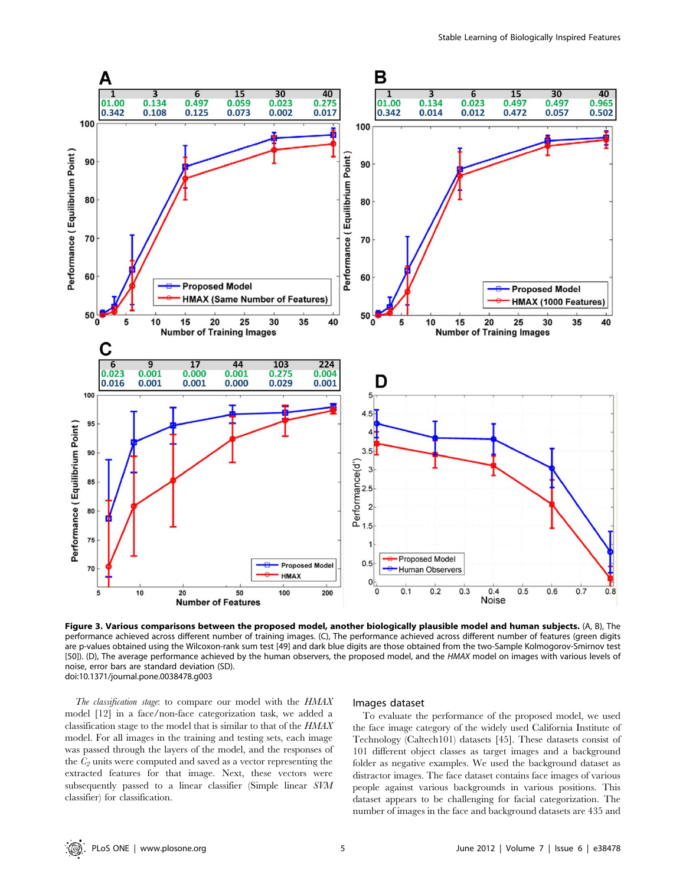

Figure 3. Various comparisons between the proposed model, another biologically plausible model and human subjects. (A, B), The performance achieved across different number of training images. (C), The performance achieved across different number of features (green digits are p-values obtained using the Wilcoxon-rank sum test [49] and dark blue digits are those obtained from the two-Sample Kolmogorov-Smirnov test [50]). (D), The average performance achieved by the human observers, the proposed model, and the HMAX model on images with various levels of noise, error bars are standard deviation (SD). doi:10.1371/journal.pone.0038478.g003

The classification stage: to compare our model with the HMAX model [12] in a face/non-face categorization task, we added a classification stage to the model that is similar to that of the HMAX model. For all images in the training and testing sets, each image was passed through the layers of the model, and the responses of the  $C_2$  units were computed and saved as a vector representing the extracted features for that image. Next, these vectors were subsequently passed to a linear classifier (Simple linear SVM classifier) for classification.

#### Images dataset

To evaluate the performance of the proposed model, we used the face image category of the widely used California Institute of Technology (Caltech101) datasets [45]. These datasets consist of 101 different object classes as target images and a background folder as negative examples. We used the background dataset as distractor images. The face dataset contains face images of various people against various backgrounds in various positions. This dataset appears to be challenging for facial categorization. The number of images in the face and background datasets are 435 and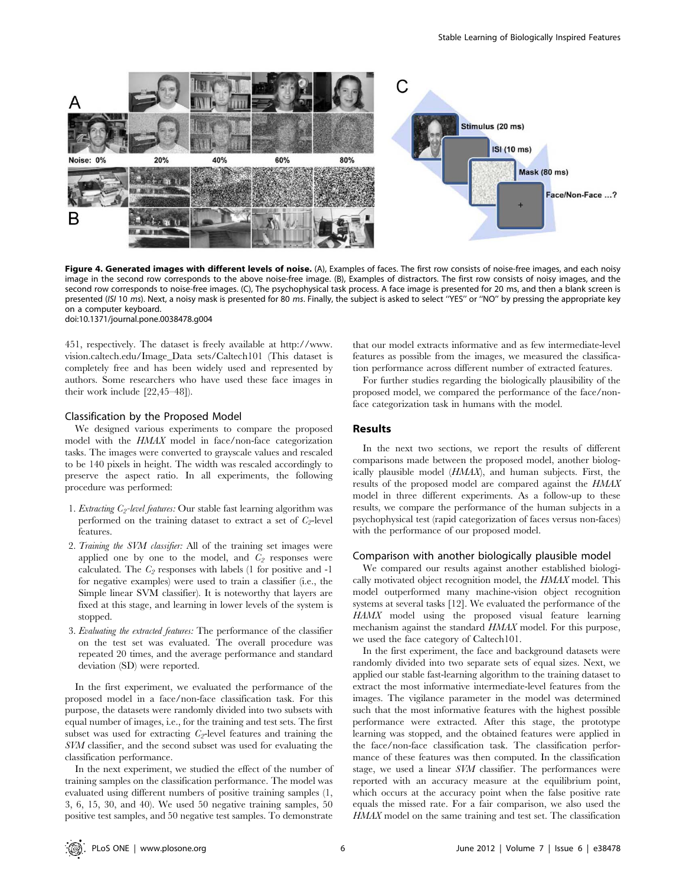

Figure 4. Generated images with different levels of noise. (A), Examples of faces. The first row consists of noise-free images, and each noisy image in the second row corresponds to the above noise-free image. (B), Examples of distractors. The first row consists of noisy images, and the second row corresponds to noise-free images. (C), The psychophysical task process. A face image is presented for 20 ms, and then a blank screen is presented (ISI 10 ms). Next, a noisy mask is presented for 80 ms. Finally, the subject is asked to select "YES" or "NO" by pressing the appropriate key on a computer keyboard.

doi:10.1371/journal.pone.0038478.g004

451, respectively. The dataset is freely available at http://www. vision.caltech.edu/Image\_Data sets/Caltech101 (This dataset is completely free and has been widely used and represented by authors. Some researchers who have used these face images in their work include [22,45–48]).

#### Classification by the Proposed Model

We designed various experiments to compare the proposed model with the HMAX model in face/non-face categorization tasks. The images were converted to grayscale values and rescaled to be 140 pixels in height. The width was rescaled accordingly to preserve the aspect ratio. In all experiments, the following procedure was performed:

- 1. Extracting  $C_2$ -level features: Our stable fast learning algorithm was performed on the training dataset to extract a set of  $C_2$ -level features.
- 2. Training the SVM classifier: All of the training set images were applied one by one to the model, and  $C_2$  responses were calculated. The  $C_2$  responses with labels (1 for positive and -1 for negative examples) were used to train a classifier (i.e., the Simple linear SVM classifier). It is noteworthy that layers are fixed at this stage, and learning in lower levels of the system is stopped.
- 3. Evaluating the extracted features: The performance of the classifier on the test set was evaluated. The overall procedure was repeated 20 times, and the average performance and standard deviation (SD) were reported.

In the first experiment, we evaluated the performance of the proposed model in a face/non-face classification task. For this purpose, the datasets were randomly divided into two subsets with equal number of images, i.e., for the training and test sets. The first subset was used for extracting  $C_2$ -level features and training the SVM classifier, and the second subset was used for evaluating the classification performance.

In the next experiment, we studied the effect of the number of training samples on the classification performance. The model was evaluated using different numbers of positive training samples (1, 3, 6, 15, 30, and 40). We used 50 negative training samples, 50 positive test samples, and 50 negative test samples. To demonstrate that our model extracts informative and as few intermediate-level features as possible from the images, we measured the classification performance across different number of extracted features.

For further studies regarding the biologically plausibility of the proposed model, we compared the performance of the face/nonface categorization task in humans with the model.

#### Results

In the next two sections, we report the results of different comparisons made between the proposed model, another biologically plausible model (HMAX), and human subjects. First, the results of the proposed model are compared against the HMAX model in three different experiments. As a follow-up to these results, we compare the performance of the human subjects in a psychophysical test (rapid categorization of faces versus non-faces) with the performance of our proposed model.

#### Comparison with another biologically plausible model

We compared our results against another established biologically motivated object recognition model, the HMAX model. This model outperformed many machine-vision object recognition systems at several tasks [12]. We evaluated the performance of the HAMX model using the proposed visual feature learning mechanism against the standard HMAX model. For this purpose, we used the face category of Caltech101.

In the first experiment, the face and background datasets were randomly divided into two separate sets of equal sizes. Next, we applied our stable fast-learning algorithm to the training dataset to extract the most informative intermediate-level features from the images. The vigilance parameter in the model was determined such that the most informative features with the highest possible performance were extracted. After this stage, the prototype learning was stopped, and the obtained features were applied in the face/non-face classification task. The classification performance of these features was then computed. In the classification stage, we used a linear SVM classifier. The performances were reported with an accuracy measure at the equilibrium point, which occurs at the accuracy point when the false positive rate equals the missed rate. For a fair comparison, we also used the HMAX model on the same training and test set. The classification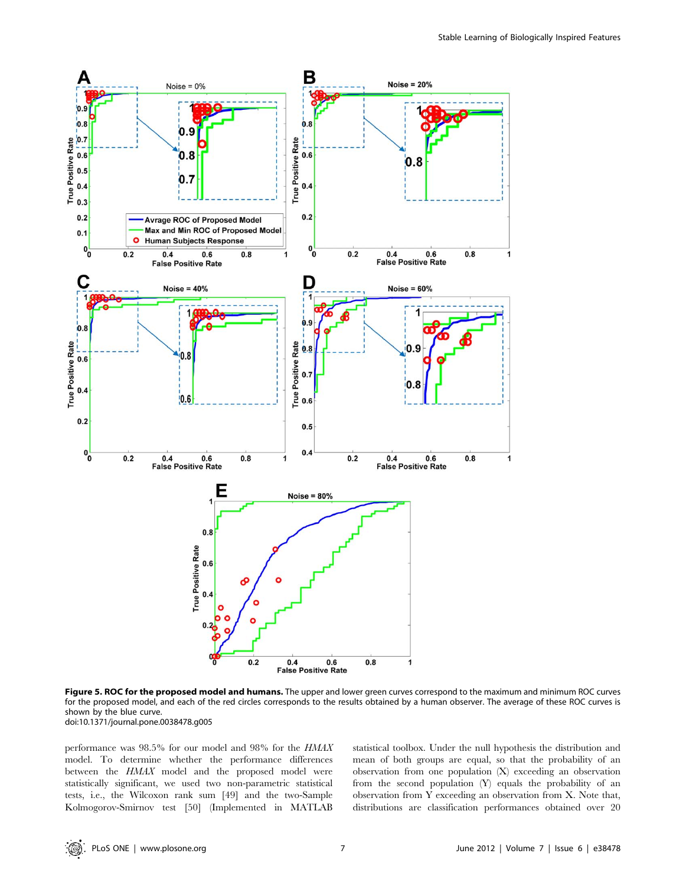

Figure 5. ROC for the proposed model and humans. The upper and lower green curves correspond to the maximum and minimum ROC curves for the proposed model, and each of the red circles corresponds to the results obtained by a human observer. The average of these ROC curves is shown by the blue curve. doi:10.1371/journal.pone.0038478.g005

performance was 98.5% for our model and 98% for the HMAX model. To determine whether the performance differences between the HMAX model and the proposed model were statistically significant, we used two non-parametric statistical tests, i.e., the Wilcoxon rank sum [49] and the two-Sample Kolmogorov-Smirnov test [50] (Implemented in MATLAB statistical toolbox. Under the null hypothesis the distribution and mean of both groups are equal, so that the probability of an observation from one population (X) exceeding an observation from the second population (Y) equals the probability of an observation from Y exceeding an observation from X. Note that, distributions are classification performances obtained over 20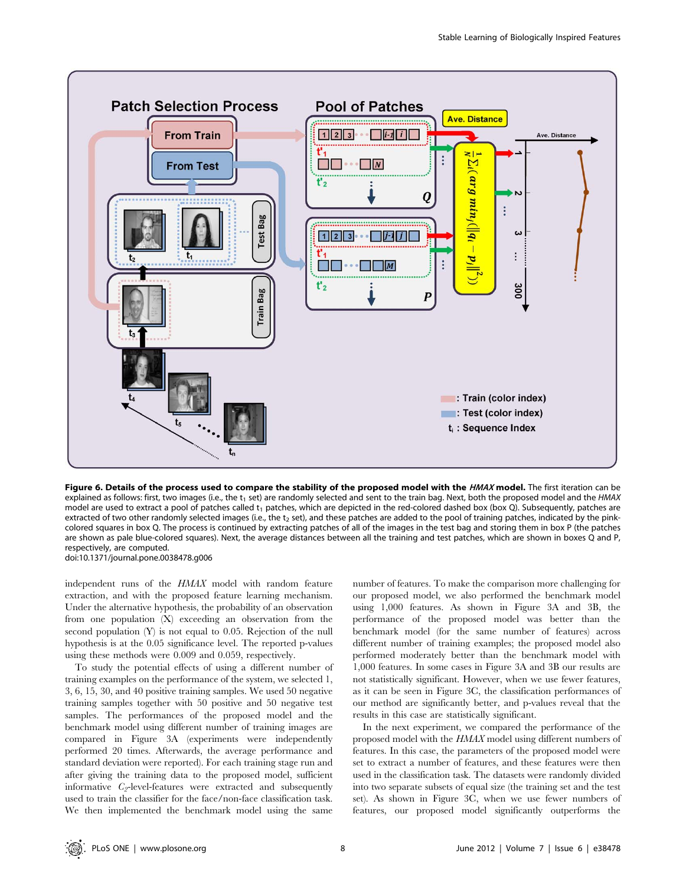

Figure 6. Details of the process used to compare the stability of the proposed model with the HMAX model. The first iteration can be explained as follows: first, two images (i.e., the  $t_1$  set) are randomly selected and sent to the train bag. Next, both the proposed model and the HMAX model are used to extract a pool of patches called  $t_1$  patches, which are depicted in the red-colored dashed box (box Q). Subsequently, patches are extracted of two other randomly selected images (i.e., the t<sub>2</sub> set), and these patches are added to the pool of training patches, indicated by the pinkcolored squares in box Q. The process is continued by extracting patches of all of the images in the test bag and storing them in box P (the patches are shown as pale blue-colored squares). Next, the average distances between all the training and test patches, which are shown in boxes Q and P, respectively, are computed. doi:10.1371/journal.pone.0038478.g006

independent runs of the HMAX model with random feature extraction, and with the proposed feature learning mechanism. Under the alternative hypothesis, the probability of an observation from one population (X) exceeding an observation from the second population (Y) is not equal to 0.05. Rejection of the null hypothesis is at the 0.05 significance level. The reported p-values using these methods were 0.009 and 0.059, respectively.

To study the potential effects of using a different number of training examples on the performance of the system, we selected 1, 3, 6, 15, 30, and 40 positive training samples. We used 50 negative training samples together with 50 positive and 50 negative test samples. The performances of the proposed model and the benchmark model using different number of training images are compared in Figure 3A (experiments were independently performed 20 times. Afterwards, the average performance and standard deviation were reported). For each training stage run and after giving the training data to the proposed model, sufficient informative  $C_2$ -level-features were extracted and subsequently used to train the classifier for the face/non-face classification task. We then implemented the benchmark model using the same

number of features. To make the comparison more challenging for our proposed model, we also performed the benchmark model using 1,000 features. As shown in Figure 3A and 3B, the performance of the proposed model was better than the benchmark model (for the same number of features) across different number of training examples; the proposed model also performed moderately better than the benchmark model with 1,000 features. In some cases in Figure 3A and 3B our results are not statistically significant. However, when we use fewer features, as it can be seen in Figure 3C, the classification performances of our method are significantly better, and p-values reveal that the results in this case are statistically significant.

In the next experiment, we compared the performance of the proposed model with the HMAX model using different numbers of features. In this case, the parameters of the proposed model were set to extract a number of features, and these features were then used in the classification task. The datasets were randomly divided into two separate subsets of equal size (the training set and the test set). As shown in Figure 3C, when we use fewer numbers of features, our proposed model significantly outperforms the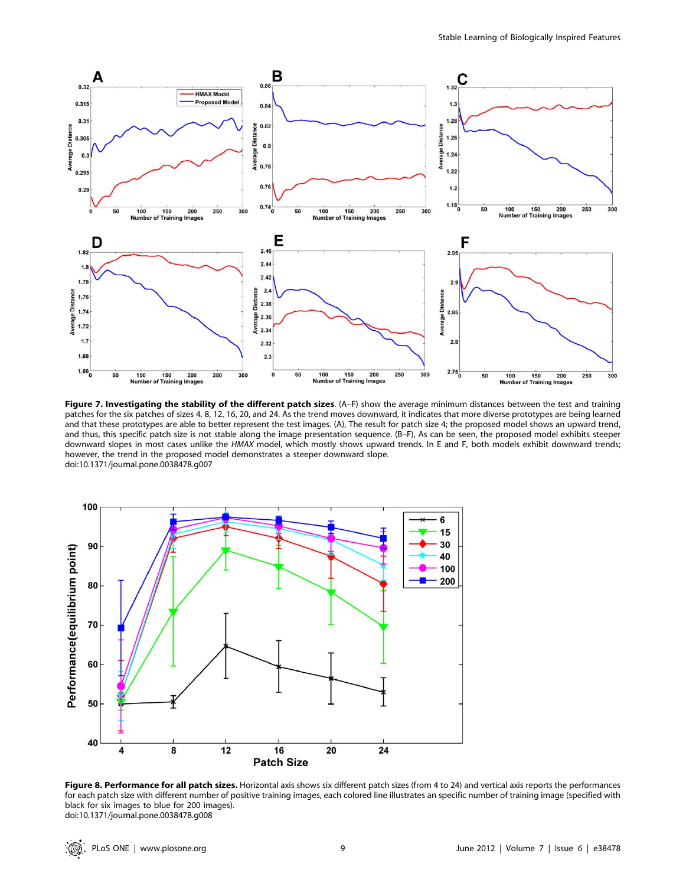

Figure 7. Investigating the stability of the different patch sizes. (A-F) show the average minimum distances between the test and training patches for the six patches of sizes 4, 8, 12, 16, 20, and 24. As the trend moves downward, it indicates that more diverse prototypes are being learned and that these prototypes are able to better represent the test images. (A), The result for patch size 4; the proposed model shows an upward trend, and thus, this specific patch size is not stable along the image presentation sequence. (B–F), As can be seen, the proposed model exhibits steeper downward slopes in most cases unlike the HMAX model, which mostly shows upward trends. In E and F, both models exhibit downward trends; however, the trend in the proposed model demonstrates a steeper downward slope. doi:10.1371/journal.pone.0038478.g007



Figure 8. Performance for all patch sizes. Horizontal axis shows six different patch sizes (from 4 to 24) and vertical axis reports the performances for each patch size with different number of positive training images, each colored line illustrates an specific number of training image (specified with black for six images to blue for 200 images). doi:10.1371/journal.pone.0038478.g008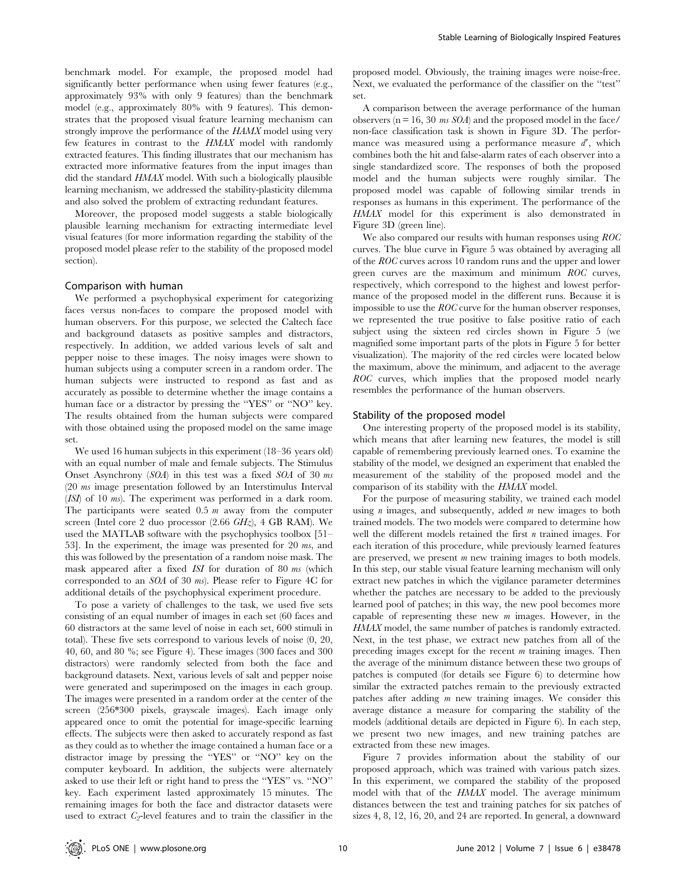benchmark model. For example, the proposed model had significantly better performance when using fewer features (e.g., approximately 93% with only 9 features) than the benchmark model (e.g., approximately 80% with 9 features). This demonstrates that the proposed visual feature learning mechanism can strongly improve the performance of the HAMX model using very few features in contrast to the HMAX model with randomly extracted features. This finding illustrates that our mechanism has extracted more informative features from the input images than did the standard HMAX model. With such a biologically plausible learning mechanism, we addressed the stability-plasticity dilemma and also solved the problem of extracting redundant features.

Moreover, the proposed model suggests a stable biologically plausible learning mechanism for extracting intermediate level visual features (for more information regarding the stability of the proposed model please refer to the stability of the proposed model section).

#### Comparison with human

We performed a psychophysical experiment for categorizing faces versus non-faces to compare the proposed model with human observers. For this purpose, we selected the Caltech face and background datasets as positive samples and distractors, respectively. In addition, we added various levels of salt and pepper noise to these images. The noisy images were shown to human subjects using a computer screen in a random order. The human subjects were instructed to respond as fast and as accurately as possible to determine whether the image contains a human face or a distractor by pressing the ''YES'' or ''NO'' key. The results obtained from the human subjects were compared with those obtained using the proposed model on the same image set.

We used 16 human subjects in this experiment (18–36 years old) with an equal number of male and female subjects. The Stimulus Onset Asynchrony (SOA) in this test was a fixed SOA of 30 ms (20 ms image presentation followed by an Interstimulus Interval (ISI) of 10 ms). The experiment was performed in a dark room. The participants were seated  $0.5$  m away from the computer screen (Intel core 2 duo processor (2.66 GHz), 4 GB RAM). We used the MATLAB software with the psychophysics toolbox [51– 53]. In the experiment, the image was presented for 20 ms, and this was followed by the presentation of a random noise mask. The mask appeared after a fixed ISI for duration of 80 ms (which corresponded to an SOA of 30 ms). Please refer to Figure 4C for additional details of the psychophysical experiment procedure.

To pose a variety of challenges to the task, we used five sets consisting of an equal number of images in each set (60 faces and 60 distractors at the same level of noise in each set, 600 stimuli in total). These five sets correspond to various levels of noise (0, 20, 40, 60, and 80 %; see Figure 4). These images (300 faces and 300 distractors) were randomly selected from both the face and background datasets. Next, various levels of salt and pepper noise were generated and superimposed on the images in each group. The images were presented in a random order at the center of the screen (256\*300 pixels, grayscale images). Each image only appeared once to omit the potential for image-specific learning effects. The subjects were then asked to accurately respond as fast as they could as to whether the image contained a human face or a distractor image by pressing the ''YES'' or ''NO'' key on the computer keyboard. In addition, the subjects were alternately asked to use their left or right hand to press the ''YES'' vs. ''NO'' key. Each experiment lasted approximately 15 minutes. The remaining images for both the face and distractor datasets were used to extract  $C_2$ -level features and to train the classifier in the

proposed model. Obviously, the training images were noise-free. Next, we evaluated the performance of the classifier on the ''test'' set.

A comparison between the average performance of the human observers ( $n = 16$ , 30 ms SOA) and the proposed model in the face/ non-face classification task is shown in Figure 3D. The performance was measured using a performance measure  $d'$ , which combines both the hit and false-alarm rates of each observer into a single standardized score. The responses of both the proposed model and the human subjects were roughly similar. The proposed model was capable of following similar trends in responses as humans in this experiment. The performance of the HMAX model for this experiment is also demonstrated in Figure 3D (green line).

We also compared our results with human responses using  $ROC$ curves. The blue curve in Figure 5 was obtained by averaging all of the ROC curves across 10 random runs and the upper and lower green curves are the maximum and minimum ROC curves, respectively, which correspond to the highest and lowest performance of the proposed model in the different runs. Because it is impossible to use the ROC curve for the human observer responses, we represented the true positive to false positive ratio of each subject using the sixteen red circles shown in Figure 5 (we magnified some important parts of the plots in Figure 5 for better visualization). The majority of the red circles were located below the maximum, above the minimum, and adjacent to the average ROC curves, which implies that the proposed model nearly resembles the performance of the human observers.

#### Stability of the proposed model

One interesting property of the proposed model is its stability, which means that after learning new features, the model is still capable of remembering previously learned ones. To examine the stability of the model, we designed an experiment that enabled the measurement of the stability of the proposed model and the comparison of its stability with the HMAX model.

For the purpose of measuring stability, we trained each model using  $n$  images, and subsequently, added  $m$  new images to both trained models. The two models were compared to determine how well the different models retained the first  $n$  trained images. For each iteration of this procedure, while previously learned features are preserved, we present m new training images to both models. In this step, our stable visual feature learning mechanism will only extract new patches in which the vigilance parameter determines whether the patches are necessary to be added to the previously learned pool of patches; in this way, the new pool becomes more capable of representing these new m images. However, in the HMAX model, the same number of patches is randomly extracted. Next, in the test phase, we extract new patches from all of the preceding images except for the recent m training images. Then the average of the minimum distance between these two groups of patches is computed (for details see Figure 6) to determine how similar the extracted patches remain to the previously extracted patches after adding m new training images. We consider this average distance a measure for comparing the stability of the models (additional details are depicted in Figure 6). In each step, we present two new images, and new training patches are extracted from these new images.

Figure 7 provides information about the stability of our proposed approach, which was trained with various patch sizes. In this experiment, we compared the stability of the proposed model with that of the HMAX model. The average minimum distances between the test and training patches for six patches of sizes 4, 8, 12, 16, 20, and 24 are reported. In general, a downward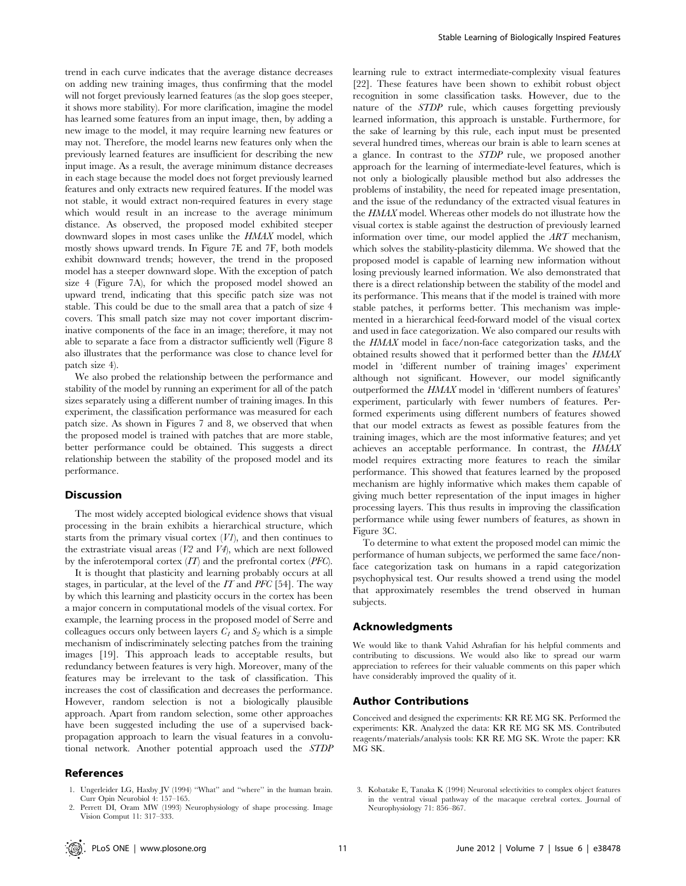trend in each curve indicates that the average distance decreases on adding new training images, thus confirming that the model will not forget previously learned features (as the slop goes steeper, it shows more stability). For more clarification, imagine the model has learned some features from an input image, then, by adding a new image to the model, it may require learning new features or may not. Therefore, the model learns new features only when the previously learned features are insufficient for describing the new input image. As a result, the average minimum distance decreases in each stage because the model does not forget previously learned features and only extracts new required features. If the model was not stable, it would extract non-required features in every stage which would result in an increase to the average minimum distance. As observed, the proposed model exhibited steeper downward slopes in most cases unlike the HMAX model, which mostly shows upward trends. In Figure 7E and 7F, both models exhibit downward trends; however, the trend in the proposed model has a steeper downward slope. With the exception of patch size 4 (Figure 7A), for which the proposed model showed an upward trend, indicating that this specific patch size was not stable. This could be due to the small area that a patch of size 4 covers. This small patch size may not cover important discriminative components of the face in an image; therefore, it may not able to separate a face from a distractor sufficiently well (Figure 8 also illustrates that the performance was close to chance level for patch size 4).

We also probed the relationship between the performance and stability of the model by running an experiment for all of the patch sizes separately using a different number of training images. In this experiment, the classification performance was measured for each patch size. As shown in Figures 7 and 8, we observed that when the proposed model is trained with patches that are more stable, better performance could be obtained. This suggests a direct relationship between the stability of the proposed model and its performance.

#### Discussion

The most widely accepted biological evidence shows that visual processing in the brain exhibits a hierarchical structure, which starts from the primary visual cortex  $(VI)$ , and then continues to the extrastriate visual areas  $(V2 \text{ and } V4)$ , which are next followed by the inferotemporal cortex  $(TT)$  and the prefrontal cortex  $(PFC)$ .

It is thought that plasticity and learning probably occurs at all stages, in particular, at the level of the  $IT$  and  $PFC$  [54]. The way by which this learning and plasticity occurs in the cortex has been a major concern in computational models of the visual cortex. For example, the learning process in the proposed model of Serre and colleagues occurs only between layers  $C_1$  and  $S_2$  which is a simple mechanism of indiscriminately selecting patches from the training images [19]. This approach leads to acceptable results, but redundancy between features is very high. Moreover, many of the features may be irrelevant to the task of classification. This increases the cost of classification and decreases the performance. However, random selection is not a biologically plausible approach. Apart from random selection, some other approaches have been suggested including the use of a supervised backpropagation approach to learn the visual features in a convolutional network. Another potential approach used the STDP

#### References

1. Ungerleider LG, Haxby JV (1994) ''What'' and ''where'' in the human brain. Curr Opin Neurobiol 4: 157–165.

learning rule to extract intermediate-complexity visual features [22]. These features have been shown to exhibit robust object recognition in some classification tasks. However, due to the nature of the STDP rule, which causes forgetting previously learned information, this approach is unstable. Furthermore, for the sake of learning by this rule, each input must be presented several hundred times, whereas our brain is able to learn scenes at a glance. In contrast to the STDP rule, we proposed another approach for the learning of intermediate-level features, which is not only a biologically plausible method but also addresses the problems of instability, the need for repeated image presentation, and the issue of the redundancy of the extracted visual features in the HMAX model. Whereas other models do not illustrate how the visual cortex is stable against the destruction of previously learned information over time, our model applied the ART mechanism, which solves the stability-plasticity dilemma. We showed that the proposed model is capable of learning new information without losing previously learned information. We also demonstrated that there is a direct relationship between the stability of the model and its performance. This means that if the model is trained with more stable patches, it performs better. This mechanism was implemented in a hierarchical feed-forward model of the visual cortex and used in face categorization. We also compared our results with the HMAX model in face/non-face categorization tasks, and the obtained results showed that it performed better than the HMAX model in 'different number of training images' experiment although not significant. However, our model significantly outperformed the HMAX model in 'different numbers of features' experiment, particularly with fewer numbers of features. Performed experiments using different numbers of features showed that our model extracts as fewest as possible features from the training images, which are the most informative features; and yet achieves an acceptable performance. In contrast, the HMAX model requires extracting more features to reach the similar performance. This showed that features learned by the proposed mechanism are highly informative which makes them capable of giving much better representation of the input images in higher processing layers. This thus results in improving the classification performance while using fewer numbers of features, as shown in Figure 3C.

To determine to what extent the proposed model can mimic the performance of human subjects, we performed the same face/nonface categorization task on humans in a rapid categorization psychophysical test. Our results showed a trend using the model that approximately resembles the trend observed in human subjects.

#### Acknowledgments

We would like to thank Vahid Ashrafian for his helpful comments and contributing to discussions. We would also like to spread our warm appreciation to referees for their valuable comments on this paper which have considerably improved the quality of it.

#### Author Contributions

Conceived and designed the experiments: KR RE MG SK. Performed the experiments: KR. Analyzed the data: KR RE MG SK MS. Contributed reagents/materials/analysis tools: KR RE MG SK. Wrote the paper: KR MG SK.

3. Kobatake E, Tanaka K (1994) Neuronal selectivities to complex object features in the ventral visual pathway of the macaque cerebral cortex. Journal of Neurophysiology 71: 856–867.